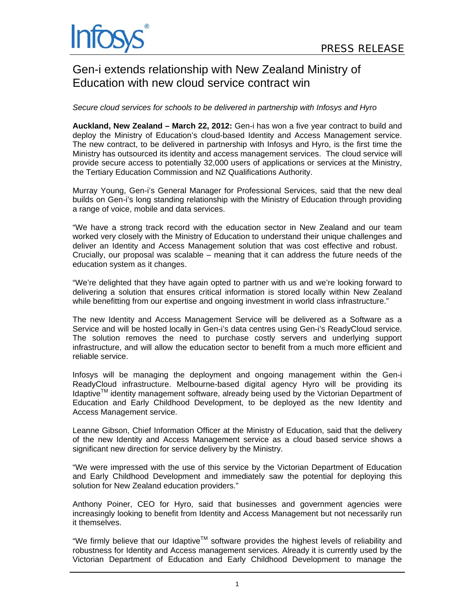# Gen-i extends relationship with New Zealand Ministry of Education with new cloud service contract win

# *Secure cloud services for schools to be delivered in partnership with Infosys and Hyro*

**Auckland, New Zealand – March 22, 2012:** Gen-i has won a five year contract to build and deploy the Ministry of Education's cloud-based Identity and Access Management service. The new contract, to be delivered in partnership with Infosys and Hyro, is the first time the Ministry has outsourced its identity and access management services. The cloud service will provide secure access to potentially 32,000 users of applications or services at the Ministry, the Tertiary Education Commission and NZ Qualifications Authority.

Murray Young, Gen-i's General Manager for Professional Services, said that the new deal builds on Gen-i's long standing relationship with the Ministry of Education through providing a range of voice, mobile and data services.

"We have a strong track record with the education sector in New Zealand and our team worked very closely with the Ministry of Education to understand their unique challenges and deliver an Identity and Access Management solution that was cost effective and robust. Crucially, our proposal was scalable – meaning that it can address the future needs of the education system as it changes.

"We're delighted that they have again opted to partner with us and we're looking forward to delivering a solution that ensures critical information is stored locally within New Zealand while benefitting from our expertise and ongoing investment in world class infrastructure."

The new Identity and Access Management Service will be delivered as a Software as a Service and will be hosted locally in Gen-i's data centres using Gen-i's ReadyCloud service. The solution removes the need to purchase costly servers and underlying support infrastructure, and will allow the education sector to benefit from a much more efficient and reliable service.

Infosys will be managing the deployment and ongoing management within the Gen-i ReadyCloud infrastructure. Melbourne-based digital agency Hyro will be providing its Idaptive<sup>TM</sup> identity management software, already being used by the Victorian Department of Education and Early Childhood Development, to be deployed as the new Identity and Access Management service.

Leanne Gibson, Chief Information Officer at the Ministry of Education, said that the delivery of the new Identity and Access Management service as a cloud based service shows a significant new direction for service delivery by the Ministry.

"We were impressed with the use of this service by the Victorian Department of Education and Early Childhood Development and immediately saw the potential for deploying this solution for New Zealand education providers."

Anthony Poiner, CEO for Hyro, said that businesses and government agencies were increasingly looking to benefit from Identity and Access Management but not necessarily run it themselves.

"We firmly believe that our Idaptive<sup>TM</sup> software provides the highest levels of reliability and robustness for Identity and Access management services. Already it is currently used by the Victorian Department of Education and Early Childhood Development to manage the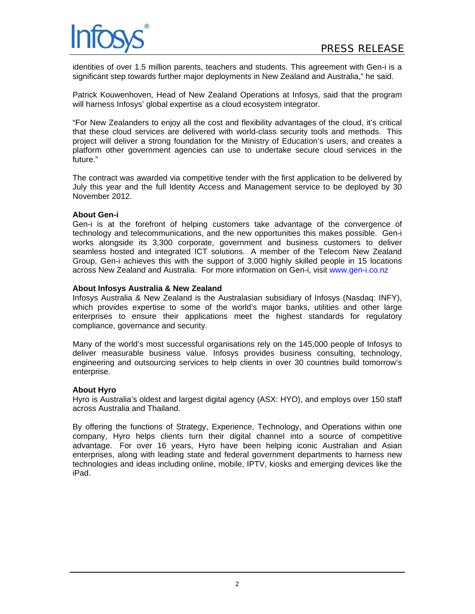

identities of over 1.5 million parents, teachers and students. This agreement with Gen-i is a significant step towards further major deployments in New Zealand and Australia," he said.

Patrick Kouwenhoven, Head of New Zealand Operations at Infosys, said that the program will harness Infosys' global expertise as a cloud ecosystem integrator.

"For New Zealanders to enjoy all the cost and flexibility advantages of the cloud, it's critical that these cloud services are delivered with world-class security tools and methods. This project will deliver a strong foundation for the Ministry of Education's users, and creates a platform other government agencies can use to undertake secure cloud services in the future."

The contract was awarded via competitive tender with the first application to be delivered by July this year and the full Identity Access and Management service to be deployed by 30 November 2012.

#### **About Gen-i**

Gen-i is at the forefront of helping customers take advantage of the convergence of technology and telecommunications, and the new opportunities this makes possible. Gen-i works alongside its 3,300 corporate, government and business customers to deliver seamless hosted and integrated ICT solutions. A member of the Telecom New Zealand Group, Gen-i achieves this with the support of 3,000 highly skilled people in 15 locations across New Zealand and Australia. For more information on Gen-i, visit www.gen-i.co.nz

# **About Infosys Australia & New Zealand**

Infosys Australia & New Zealand is the Australasian subsidiary of Infosys (Nasdaq: INFY), which provides expertise to some of the world's major banks, utilities and other large enterprises to ensure their applications meet the highest standards for regulatory compliance, governance and security.

Many of the world's most successful organisations rely on the 145,000 people of Infosys to deliver measurable business value. Infosys provides business consulting, technology, engineering and outsourcing services to help clients in over 30 countries build tomorrow's enterprise.

#### **About Hyro**

Hyro is Australia's oldest and largest digital agency (ASX: HYO), and employs over 150 staff across Australia and Thailand.

By offering the functions of Strategy, Experience, Technology, and Operations within one company, Hyro helps clients turn their digital channel into a source of competitive advantage. For over 16 years, Hyro have been helping iconic Australian and Asian enterprises, along with leading state and federal government departments to harness new technologies and ideas including online, mobile, IPTV, kiosks and emerging devices like the iPad.